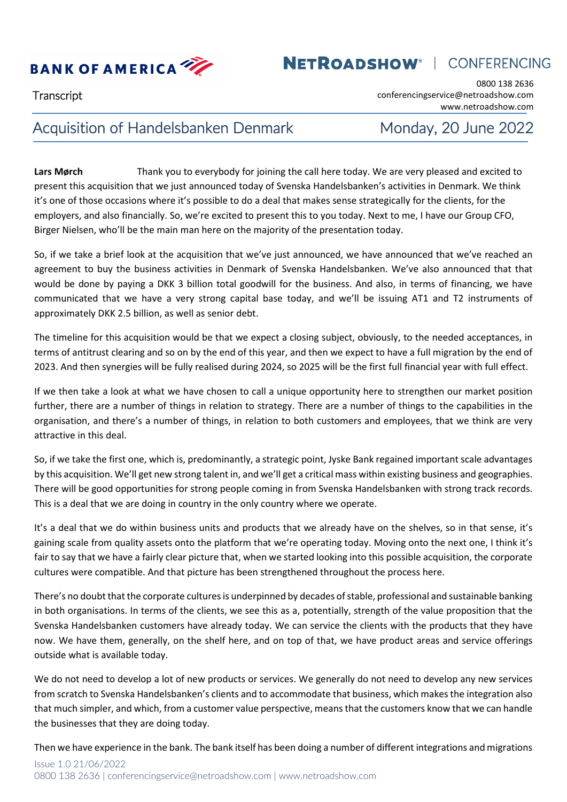**BANK OF AMERICA** 

# **NETROADSHOW® | CONFERENCING**

**Transcript** 

0800 138 2636 conferencingservice@netroadshow.com www.netroadshow.com

## Acquisition of Handelsbanken Denmark Monday, 20 June 2022

Lars Mørch Thank you to everybody for joining the call here today. We are very pleased and excited to present this acquisition that we just announced today of Svenska Handelsbanken's activities in Denmark. We think it's one of those occasions where it's possible to do a deal that makes sense strategically for the clients, for the employers, and also financially. So, we're excited to present this to you today. Next to me, I have our Group CFO, Birger Nielsen, who'll be the main man here on the majority of the presentation today.

So, if we take a brief look at the acquisition that we've just announced, we have announced that we've reached an agreement to buy the business activities in Denmark of Svenska Handelsbanken. We've also announced that that would be done by paying a DKK 3 billion total goodwill for the business. And also, in terms of financing, we have communicated that we have a very strong capital base today, and we'll be issuing AT1 and T2 instruments of approximately DKK 2.5 billion, as well as senior debt.

The timeline for this acquisition would be that we expect a closing subject, obviously, to the needed acceptances, in terms of antitrust clearing and so on by the end of this year, and then we expect to have a full migration by the end of 2023. And then synergies will be fully realised during 2024, so 2025 will be the first full financial year with full effect.

If we then take a look at what we have chosen to call a unique opportunity here to strengthen our market position further, there are a number of things in relation to strategy. There are a number of things to the capabilities in the organisation, and there's a number of things, in relation to both customers and employees, that we think are very attractive in this deal.

So, if we take the first one, which is, predominantly, a strategic point, Jyske Bank regained important scale advantages by this acquisition. We'll get new strong talent in, and we'll get a critical mass within existing business and geographies. There will be good opportunities for strong people coming in from Svenska Handelsbanken with strong track records. This is a deal that we are doing in country in the only country where we operate.

It's a deal that we do within business units and products that we already have on the shelves, so in that sense, it's gaining scale from quality assets onto the platform that we're operating today. Moving onto the next one, I think it's fair to say that we have a fairly clear picture that, when we started looking into this possible acquisition, the corporate cultures were compatible. And that picture has been strengthened throughout the process here.

There's no doubt that the corporate cultures is underpinned by decades of stable, professional and sustainable banking in both organisations. In terms of the clients, we see this as a, potentially, strength of the value proposition that the Svenska Handelsbanken customers have already today. We can service the clients with the products that they have now. We have them, generally, on the shelf here, and on top of that, we have product areas and service offerings outside what is available today.

We do not need to develop a lot of new products or services. We generally do not need to develop any new services from scratch to Svenska Handelsbanken's clients and to accommodate that business, which makes the integration also that much simpler, and which, from a customer value perspective, means that the customers know that we can handle the businesses that they are doing today.

Then we have experience in the bank. The bank itself has been doing a number of different integrations and migrations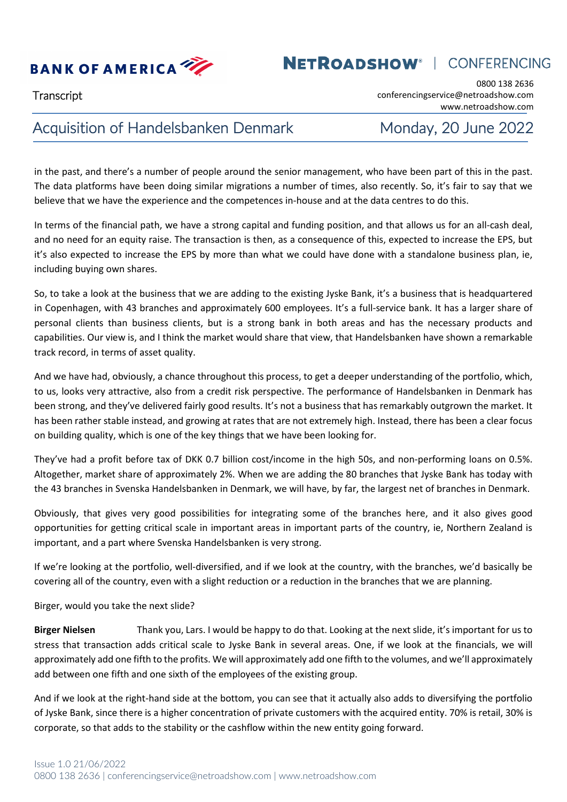

**Transcript** 

0800 138 2636 conferencingservice@netroadshow.com www.netroadshow.com

## Acquisition of Handelsbanken Denmark Monday, 20 June 2022

in the past, and there's a number of people around the senior management, who have been part of this in the past. The data platforms have been doing similar migrations a number of times, also recently. So, it's fair to say that we believe that we have the experience and the competences in-house and at the data centres to do this.

In terms of the financial path, we have a strong capital and funding position, and that allows us for an all-cash deal, and no need for an equity raise. The transaction is then, as a consequence of this, expected to increase the EPS, but it's also expected to increase the EPS by more than what we could have done with a standalone business plan, ie, including buying own shares.

So, to take a look at the business that we are adding to the existing Jyske Bank, it's a business that is headquartered in Copenhagen, with 43 branches and approximately 600 employees. It's a full-service bank. It has a larger share of personal clients than business clients, but is a strong bank in both areas and has the necessary products and capabilities. Our view is, and I think the market would share that view, that Handelsbanken have shown a remarkable track record, in terms of asset quality.

And we have had, obviously, a chance throughout this process, to get a deeper understanding of the portfolio, which, to us, looks very attractive, also from a credit risk perspective. The performance of Handelsbanken in Denmark has been strong, and they've delivered fairly good results. It's not a business that has remarkably outgrown the market. It has been rather stable instead, and growing at rates that are not extremely high. Instead, there has been a clear focus on building quality, which is one of the key things that we have been looking for.

They've had a profit before tax of DKK 0.7 billion cost/income in the high 50s, and non-performing loans on 0.5%. Altogether, market share of approximately 2%. When we are adding the 80 branches that Jyske Bank has today with the 43 branches in Svenska Handelsbanken in Denmark, we will have, by far, the largest net of branches in Denmark.

Obviously, that gives very good possibilities for integrating some of the branches here, and it also gives good opportunities for getting critical scale in important areas in important parts of the country, ie, Northern Zealand is important, and a part where Svenska Handelsbanken is very strong.

If we're looking at the portfolio, well-diversified, and if we look at the country, with the branches, we'd basically be covering all of the country, even with a slight reduction or a reduction in the branches that we are planning.

Birger, would you take the next slide?

**Birger Nielsen** Thank you, Lars. I would be happy to do that. Looking at the next slide, it's important for us to stress that transaction adds critical scale to Jyske Bank in several areas. One, if we look at the financials, we will approximately add one fifth to the profits. We will approximately add one fifth to the volumes, and we'll approximately add between one fifth and one sixth of the employees of the existing group.

And if we look at the right-hand side at the bottom, you can see that it actually also adds to diversifying the portfolio of Jyske Bank, since there is a higher concentration of private customers with the acquired entity. 70% is retail, 30% is corporate, so that adds to the stability or the cashflow within the new entity going forward.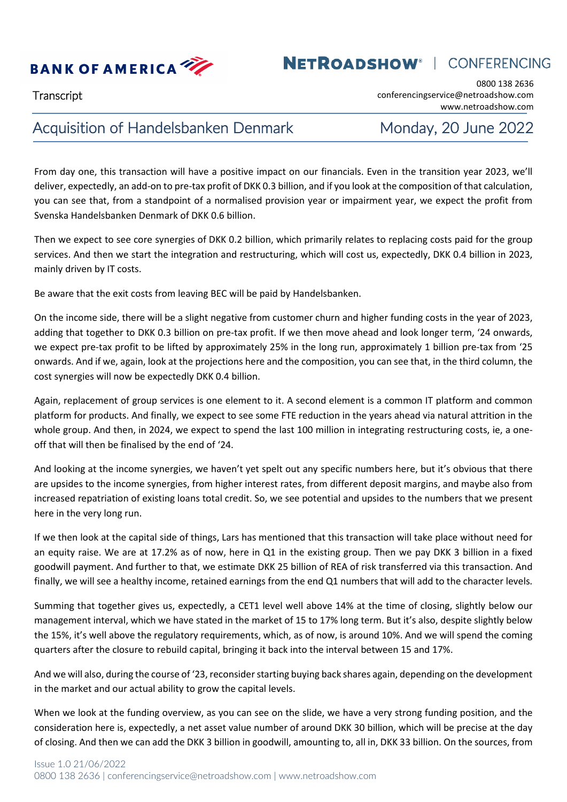

**Transcript** 

0800 138 2636 conferencingservice@netroadshow.com www.netroadshow.com

## Acquisition of Handelsbanken Denmark Monday, 20 June 2022

From day one, this transaction will have a positive impact on our financials. Even in the transition year 2023, we'll deliver, expectedly, an add-on to pre-tax profit of DKK 0.3 billion, and if you look at the composition of that calculation, you can see that, from a standpoint of a normalised provision year or impairment year, we expect the profit from Svenska Handelsbanken Denmark of DKK 0.6 billion.

Then we expect to see core synergies of DKK 0.2 billion, which primarily relates to replacing costs paid for the group services. And then we start the integration and restructuring, which will cost us, expectedly, DKK 0.4 billion in 2023, mainly driven by IT costs.

Be aware that the exit costs from leaving BEC will be paid by Handelsbanken.

On the income side, there will be a slight negative from customer churn and higher funding costs in the year of 2023, adding that together to DKK 0.3 billion on pre-tax profit. If we then move ahead and look longer term, '24 onwards, we expect pre-tax profit to be lifted by approximately 25% in the long run, approximately 1 billion pre-tax from '25 onwards. And if we, again, look at the projections here and the composition, you can see that, in the third column, the cost synergies will now be expectedly DKK 0.4 billion.

Again, replacement of group services is one element to it. A second element is a common IT platform and common platform for products. And finally, we expect to see some FTE reduction in the years ahead via natural attrition in the whole group. And then, in 2024, we expect to spend the last 100 million in integrating restructuring costs, ie, a oneoff that will then be finalised by the end of '24.

And looking at the income synergies, we haven't yet spelt out any specific numbers here, but it's obvious that there are upsides to the income synergies, from higher interest rates, from different deposit margins, and maybe also from increased repatriation of existing loans total credit. So, we see potential and upsides to the numbers that we present here in the very long run.

If we then look at the capital side of things, Lars has mentioned that this transaction will take place without need for an equity raise. We are at 17.2% as of now, here in Q1 in the existing group. Then we pay DKK 3 billion in a fixed goodwill payment. And further to that, we estimate DKK 25 billion of REA of risk transferred via this transaction. And finally, we will see a healthy income, retained earnings from the end Q1 numbers that will add to the character levels.

Summing that together gives us, expectedly, a CET1 level well above 14% at the time of closing, slightly below our management interval, which we have stated in the market of 15 to 17% long term. But it's also, despite slightly below the 15%, it's well above the regulatory requirements, which, as of now, is around 10%. And we will spend the coming quarters after the closure to rebuild capital, bringing it back into the interval between 15 and 17%.

And we will also, during the course of '23, reconsider starting buying back shares again, depending on the development in the market and our actual ability to grow the capital levels.

When we look at the funding overview, as you can see on the slide, we have a very strong funding position, and the consideration here is, expectedly, a net asset value number of around DKK 30 billion, which will be precise at the day of closing. And then we can add the DKK 3 billion in goodwill, amounting to, all in, DKK 33 billion. On the sources, from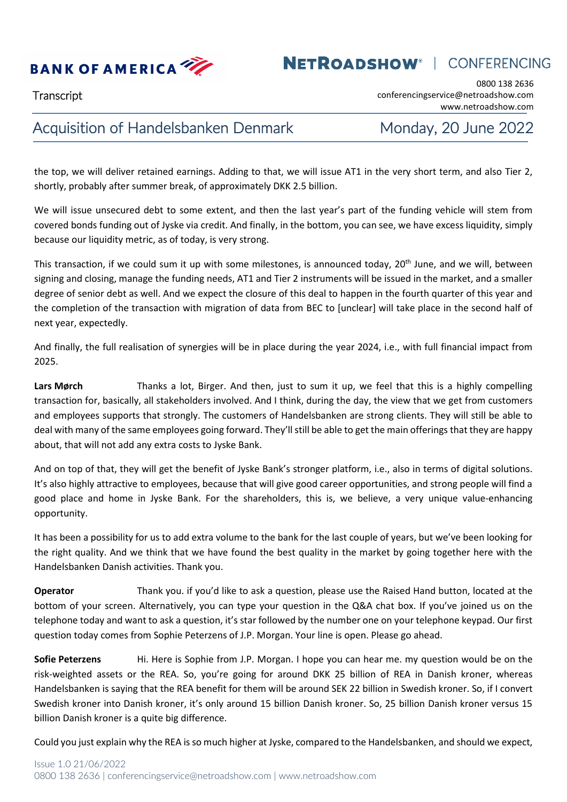

**Transcript** 

0800 138 2636 conferencingservice@netroadshow.com www.netroadshow.com

## Acquisition of Handelsbanken Denmark Monday, 20 June 2022

the top, we will deliver retained earnings. Adding to that, we will issue AT1 in the very short term, and also Tier 2, shortly, probably after summer break, of approximately DKK 2.5 billion.

We will issue unsecured debt to some extent, and then the last year's part of the funding vehicle will stem from covered bonds funding out of Jyske via credit. And finally, in the bottom, you can see, we have excess liquidity, simply because our liquidity metric, as of today, is very strong.

This transaction, if we could sum it up with some milestones, is announced today,  $20<sup>th</sup>$  June, and we will, between signing and closing, manage the funding needs, AT1 and Tier 2 instruments will be issued in the market, and a smaller degree of senior debt as well. And we expect the closure of this deal to happen in the fourth quarter of this year and the completion of the transaction with migration of data from BEC to [unclear] will take place in the second half of next year, expectedly.

And finally, the full realisation of synergies will be in place during the year 2024, i.e., with full financial impact from 2025.

Lars Mørch Thanks a lot, Birger. And then, just to sum it up, we feel that this is a highly compelling transaction for, basically, all stakeholders involved. And I think, during the day, the view that we get from customers and employees supports that strongly. The customers of Handelsbanken are strong clients. They will still be able to deal with many of the same employees going forward. They'll still be able to get the main offerings that they are happy about, that will not add any extra costs to Jyske Bank.

And on top of that, they will get the benefit of Jyske Bank's stronger platform, i.e., also in terms of digital solutions. It's also highly attractive to employees, because that will give good career opportunities, and strong people will find a good place and home in Jyske Bank. For the shareholders, this is, we believe, a very unique value-enhancing opportunity.

It has been a possibility for us to add extra volume to the bank for the last couple of years, but we've been looking for the right quality. And we think that we have found the best quality in the market by going together here with the Handelsbanken Danish activities. Thank you.

**Operator** Thank you. if you'd like to ask a question, please use the Raised Hand button, located at the bottom of your screen. Alternatively, you can type your question in the Q&A chat box. If you've joined us on the telephone today and want to ask a question, it's star followed by the number one on your telephone keypad. Our first question today comes from Sophie Peterzens of J.P. Morgan. Your line is open. Please go ahead.

**Sofie Peterzens** Hi. Here is Sophie from J.P. Morgan. I hope you can hear me. my question would be on the risk-weighted assets or the REA. So, you're going for around DKK 25 billion of REA in Danish kroner, whereas Handelsbanken is saying that the REA benefit for them will be around SEK 22 billion in Swedish kroner. So, if I convert Swedish kroner into Danish kroner, it's only around 15 billion Danish kroner. So, 25 billion Danish kroner versus 15 billion Danish kroner is a quite big difference.

Could you just explain why the REA is so much higher at Jyske, compared to the Handelsbanken, and should we expect,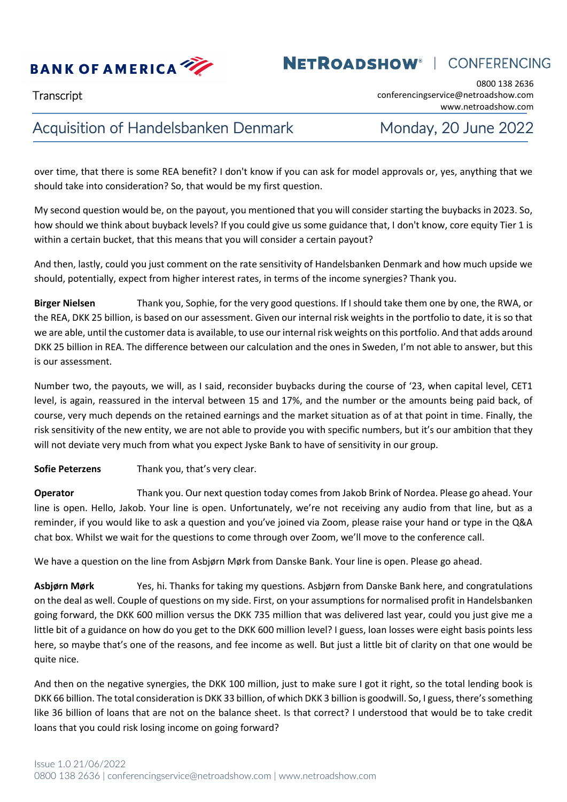

**Transcript** 

0800 138 2636 conferencingservice@netroadshow.com www.netroadshow.com

## Acquisition of Handelsbanken Denmark Monday, 20 June 2022

over time, that there is some REA benefit? I don't know if you can ask for model approvals or, yes, anything that we should take into consideration? So, that would be my first question.

My second question would be, on the payout, you mentioned that you will consider starting the buybacks in 2023. So, how should we think about buyback levels? If you could give us some guidance that, I don't know, core equity Tier 1 is within a certain bucket, that this means that you will consider a certain payout?

And then, lastly, could you just comment on the rate sensitivity of Handelsbanken Denmark and how much upside we should, potentially, expect from higher interest rates, in terms of the income synergies? Thank you.

**Birger Nielsen** Thank you, Sophie, for the very good questions. If I should take them one by one, the RWA, or the REA, DKK 25 billion, is based on our assessment. Given our internal risk weights in the portfolio to date, it is so that we are able, until the customer data is available, to use our internal risk weights on this portfolio. And that adds around DKK 25 billion in REA. The difference between our calculation and the ones in Sweden, I'm not able to answer, but this is our assessment.

Number two, the payouts, we will, as I said, reconsider buybacks during the course of '23, when capital level, CET1 level, is again, reassured in the interval between 15 and 17%, and the number or the amounts being paid back, of course, very much depends on the retained earnings and the market situation as of at that point in time. Finally, the risk sensitivity of the new entity, we are not able to provide you with specific numbers, but it's our ambition that they will not deviate very much from what you expect Jyske Bank to have of sensitivity in our group.

#### **Sofie Peterzens** Thank you, that's very clear.

**Operator** Thank you. Our next question today comes from Jakob Brink of Nordea. Please go ahead. Your line is open. Hello, Jakob. Your line is open. Unfortunately, we're not receiving any audio from that line, but as a reminder, if you would like to ask a question and you've joined via Zoom, please raise your hand or type in the Q&A chat box. Whilst we wait for the questions to come through over Zoom, we'll move to the conference call.

We have a question on the line from Asbjørn Mørk from Danske Bank. Your line is open. Please go ahead.

**Asbjørn Mørk** Yes, hi. Thanks for taking my questions. Asbjørn from Danske Bank here, and congratulations on the deal as well. Couple of questions on my side. First, on your assumptions for normalised profit in Handelsbanken going forward, the DKK 600 million versus the DKK 735 million that was delivered last year, could you just give me a little bit of a guidance on how do you get to the DKK 600 million level? I guess, loan losses were eight basis points less here, so maybe that's one of the reasons, and fee income as well. But just a little bit of clarity on that one would be quite nice.

And then on the negative synergies, the DKK 100 million, just to make sure I got it right, so the total lending book is DKK 66 billion. The total consideration is DKK 33 billion, of which DKK 3 billion is goodwill. So, I guess, there's something like 36 billion of loans that are not on the balance sheet. Is that correct? I understood that would be to take credit loans that you could risk losing income on going forward?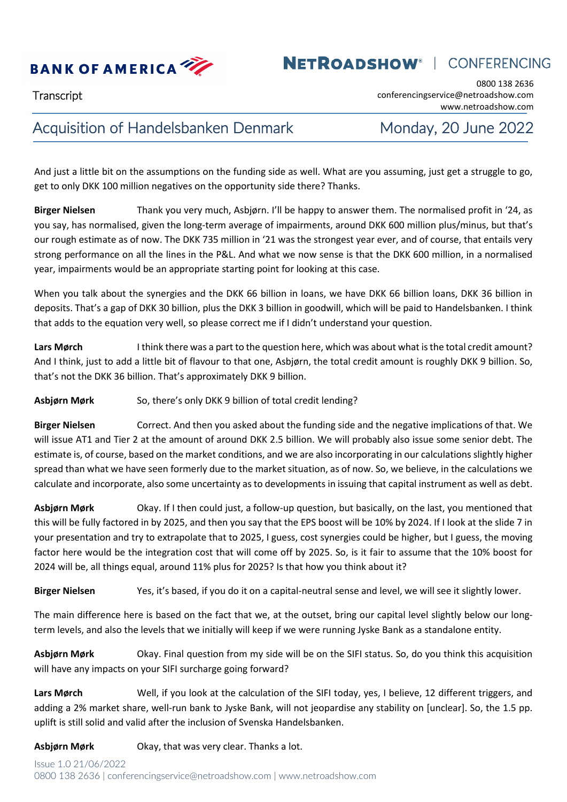

**Transcript** 

0800 138 2636 conferencingservice@netroadshow.com www.netroadshow.com

#### Acquisition of Handelsbanken Denmark Monday, 20 June 2022

And just a little bit on the assumptions on the funding side as well. What are you assuming, just get a struggle to go, get to only DKK 100 million negatives on the opportunity side there? Thanks.

**Birger Nielsen** Thank you very much, Asbjørn. I'll be happy to answer them. The normalised profit in '24, as you say, has normalised, given the long-term average of impairments, around DKK 600 million plus/minus, but that's our rough estimate as of now. The DKK 735 million in '21 was the strongest year ever, and of course, that entails very strong performance on all the lines in the P&L. And what we now sense is that the DKK 600 million, in a normalised year, impairments would be an appropriate starting point for looking at this case.

When you talk about the synergies and the DKK 66 billion in loans, we have DKK 66 billion loans, DKK 36 billion in deposits. That's a gap of DKK 30 billion, plus the DKK 3 billion in goodwill, which will be paid to Handelsbanken. I think that adds to the equation very well, so please correct me if I didn't understand your question.

Lars Mørch I think there was a part to the question here, which was about what is the total credit amount? And I think, just to add a little bit of flavour to that one, Asbjørn, the total credit amount is roughly DKK 9 billion. So, that's not the DKK 36 billion. That's approximately DKK 9 billion.

**Asbjørn Mørk** So, there's only DKK 9 billion of total credit lending?

**Birger Nielsen** Correct. And then you asked about the funding side and the negative implications of that. We will issue AT1 and Tier 2 at the amount of around DKK 2.5 billion. We will probably also issue some senior debt. The estimate is, of course, based on the market conditions, and we are also incorporating in our calculations slightly higher spread than what we have seen formerly due to the market situation, as of now. So, we believe, in the calculations we calculate and incorporate, also some uncertainty as to developments in issuing that capital instrument as well as debt.

**Asbjørn Mørk** Okay. If I then could just, a follow-up question, but basically, on the last, you mentioned that this will be fully factored in by 2025, and then you say that the EPS boost will be 10% by 2024. If I look at the slide 7 in your presentation and try to extrapolate that to 2025, I guess, cost synergies could be higher, but I guess, the moving factor here would be the integration cost that will come off by 2025. So, is it fair to assume that the 10% boost for 2024 will be, all things equal, around 11% plus for 2025? Is that how you think about it?

**Birger Nielsen** Yes, it's based, if you do it on a capital-neutral sense and level, we will see it slightly lower.

The main difference here is based on the fact that we, at the outset, bring our capital level slightly below our longterm levels, and also the levels that we initially will keep if we were running Jyske Bank as a standalone entity.

**Asbjørn Mørk** Okay. Final question from my side will be on the SIFI status. So, do you think this acquisition will have any impacts on your SIFI surcharge going forward?

**Lars Mørch** Well, if you look at the calculation of the SIFI today, yes, I believe, 12 different triggers, and adding a 2% market share, well-run bank to Jyske Bank, will not jeopardise any stability on [unclear]. So, the 1.5 pp. uplift is still solid and valid after the inclusion of Svenska Handelsbanken.

#### **Asbjørn Mørk** Okay, that was very clear. Thanks a lot.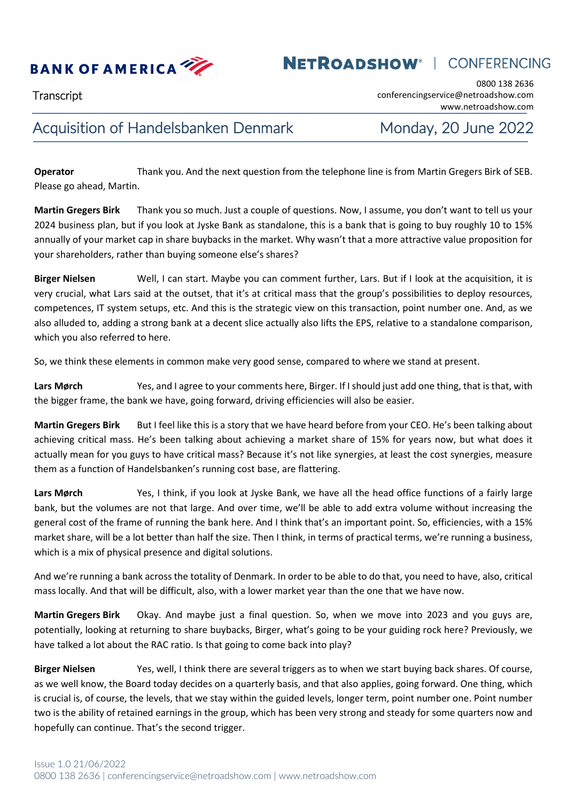

**Transcript** 

0800 138 2636 conferencingservice@netroadshow.com www.netroadshow.com

## Acquisition of Handelsbanken Denmark Monday, 20 June 2022

**Operator** Thank you. And the next question from the telephone line is from Martin Gregers Birk of SEB. Please go ahead, Martin.

**Martin Gregers Birk** Thank you so much. Just a couple of questions. Now, I assume, you don't want to tell us your 2024 business plan, but if you look at Jyske Bank as standalone, this is a bank that is going to buy roughly 10 to 15% annually of your market cap in share buybacks in the market. Why wasn't that a more attractive value proposition for your shareholders, rather than buying someone else's shares?

**Birger Nielsen** Well, I can start. Maybe you can comment further, Lars. But if I look at the acquisition, it is very crucial, what Lars said at the outset, that it's at critical mass that the group's possibilities to deploy resources, competences, IT system setups, etc. And this is the strategic view on this transaction, point number one. And, as we also alluded to, adding a strong bank at a decent slice actually also lifts the EPS, relative to a standalone comparison, which you also referred to here.

So, we think these elements in common make very good sense, compared to where we stand at present.

Lars Mørch Yes, and I agree to your comments here, Birger. If I should just add one thing, that is that, with the bigger frame, the bank we have, going forward, driving efficiencies will also be easier.

**Martin Gregers Birk** But I feel like this is a story that we have heard before from your CEO. He's been talking about achieving critical mass. He's been talking about achieving a market share of 15% for years now, but what does it actually mean for you guys to have critical mass? Because it's not like synergies, at least the cost synergies, measure them as a function of Handelsbanken's running cost base, are flattering.

Lars Mørch Yes, I think, if you look at Jyske Bank, we have all the head office functions of a fairly large bank, but the volumes are not that large. And over time, we'll be able to add extra volume without increasing the general cost of the frame of running the bank here. And I think that's an important point. So, efficiencies, with a 15% market share, will be a lot better than half the size. Then I think, in terms of practical terms, we're running a business, which is a mix of physical presence and digital solutions.

And we're running a bank across the totality of Denmark. In order to be able to do that, you need to have, also, critical mass locally. And that will be difficult, also, with a lower market year than the one that we have now.

**Martin Gregers Birk** Okay. And maybe just a final question. So, when we move into 2023 and you guys are, potentially, looking at returning to share buybacks, Birger, what's going to be your guiding rock here? Previously, we have talked a lot about the RAC ratio. Is that going to come back into play?

**Birger Nielsen** Yes, well, I think there are several triggers as to when we start buying back shares. Of course, as we well know, the Board today decides on a quarterly basis, and that also applies, going forward. One thing, which is crucial is, of course, the levels, that we stay within the guided levels, longer term, point number one. Point number two is the ability of retained earnings in the group, which has been very strong and steady for some quarters now and hopefully can continue. That's the second trigger.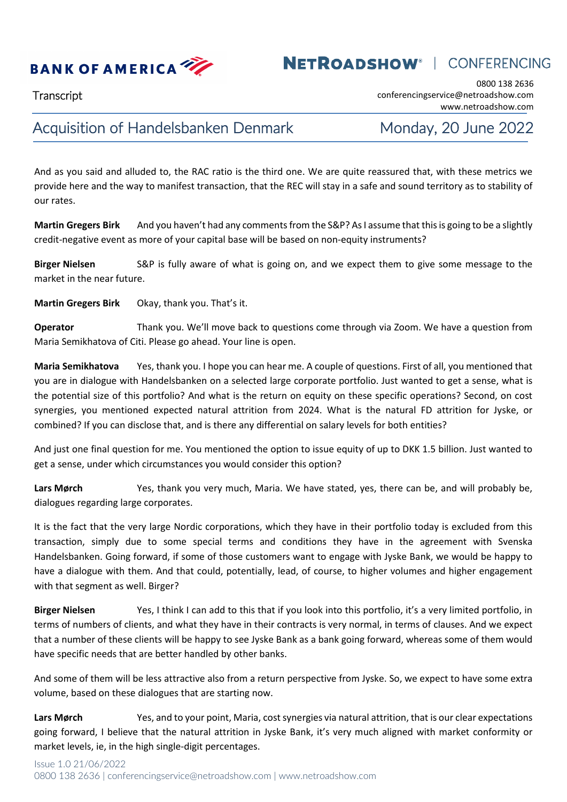

**Transcript** 

0800 138 2636 conferencingservice@netroadshow.com www.netroadshow.com

#### Acquisition of Handelsbanken Denmark Monday, 20 June 2022

And as you said and alluded to, the RAC ratio is the third one. We are quite reassured that, with these metrics we provide here and the way to manifest transaction, that the REC will stay in a safe and sound territory as to stability of our rates.

**Martin Gregers Birk** And you haven't had any comments from the S&P? As I assume that this is going to be a slightly credit-negative event as more of your capital base will be based on non-equity instruments?

**Birger Nielsen** S&P is fully aware of what is going on, and we expect them to give some message to the market in the near future.

**Martin Gregers Birk** Okay, thank you. That's it.

**Operator** Thank you. We'll move back to questions come through via Zoom. We have a question from Maria Semikhatova of Citi. Please go ahead. Your line is open.

**Maria Semikhatova** Yes, thank you. I hope you can hear me. A couple of questions. First of all, you mentioned that you are in dialogue with Handelsbanken on a selected large corporate portfolio. Just wanted to get a sense, what is the potential size of this portfolio? And what is the return on equity on these specific operations? Second, on cost synergies, you mentioned expected natural attrition from 2024. What is the natural FD attrition for Jyske, or combined? If you can disclose that, and is there any differential on salary levels for both entities?

And just one final question for me. You mentioned the option to issue equity of up to DKK 1.5 billion. Just wanted to get a sense, under which circumstances you would consider this option?

**Lars Mørch** Yes, thank you very much, Maria. We have stated, yes, there can be, and will probably be, dialogues regarding large corporates.

It is the fact that the very large Nordic corporations, which they have in their portfolio today is excluded from this transaction, simply due to some special terms and conditions they have in the agreement with Svenska Handelsbanken. Going forward, if some of those customers want to engage with Jyske Bank, we would be happy to have a dialogue with them. And that could, potentially, lead, of course, to higher volumes and higher engagement with that segment as well. Birger?

**Birger Nielsen** Yes, I think I can add to this that if you look into this portfolio, it's a very limited portfolio, in terms of numbers of clients, and what they have in their contracts is very normal, in terms of clauses. And we expect that a number of these clients will be happy to see Jyske Bank as a bank going forward, whereas some of them would have specific needs that are better handled by other banks.

And some of them will be less attractive also from a return perspective from Jyske. So, we expect to have some extra volume, based on these dialogues that are starting now.

**Lars Mørch** Yes, and to your point, Maria, cost synergies via natural attrition, that is our clear expectations going forward, I believe that the natural attrition in Jyske Bank, it's very much aligned with market conformity or market levels, ie, in the high single-digit percentages.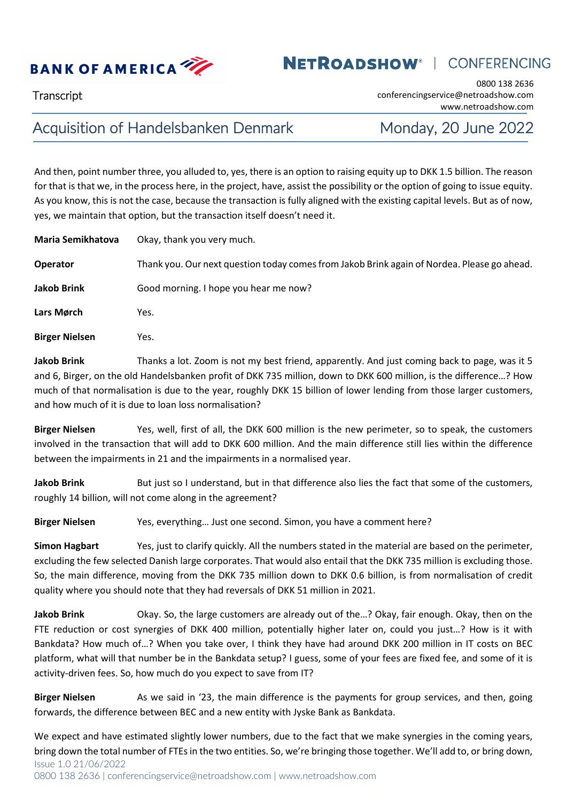**BANK OF AMERICA** 

# **NETROADSHOW<sup>®</sup> | CONFERENCING**

**Transcript** 

0800 138 2636 conferencingservice@netroadshow.com www.netroadshow.com

#### Acquisition of Handelsbanken Denmark Monday, 20 June 2022

And then, point number three, you alluded to, yes, there is an option to raising equity up to DKK 1.5 billion. The reason for that is that we, in the process here, in the project, have, assist the possibility or the option of going to issue equity. As you know, this is not the case, because the transaction is fully aligned with the existing capital levels. But as of now, yes, we maintain that option, but the transaction itself doesn't need it.

| Maria Semikhatova     | Okay, thank you very much.                                                                  |
|-----------------------|---------------------------------------------------------------------------------------------|
| <b>Operator</b>       | Thank you. Our next question today comes from Jakob Brink again of Nordea. Please go ahead. |
| <b>Jakob Brink</b>    | Good morning. I hope you hear me now?                                                       |
| Lars Mørch            | Yes.                                                                                        |
| <b>Birger Nielsen</b> | Yes.                                                                                        |
|                       |                                                                                             |

**Jakob Brink** Thanks a lot. Zoom is not my best friend, apparently. And just coming back to page, was it 5 and 6, Birger, on the old Handelsbanken profit of DKK 735 million, down to DKK 600 million, is the difference…? How much of that normalisation is due to the year, roughly DKK 15 billion of lower lending from those larger customers, and how much of it is due to loan loss normalisation?

**Birger Nielsen** Yes, well, first of all, the DKK 600 million is the new perimeter, so to speak, the customers involved in the transaction that will add to DKK 600 million. And the main difference still lies within the difference between the impairments in 21 and the impairments in a normalised year.

**Jakob Brink** But just so I understand, but in that difference also lies the fact that some of the customers, roughly 14 billion, will not come along in the agreement?

**Birger Nielsen** Yes, everything… Just one second. Simon, you have a comment here?

**Simon Hagbart** Yes, just to clarify quickly. All the numbers stated in the material are based on the perimeter, excluding the few selected Danish large corporates. That would also entail that the DKK 735 million is excluding those. So, the main difference, moving from the DKK 735 million down to DKK 0.6 billion, is from normalisation of credit quality where you should note that they had reversals of DKK 51 million in 2021.

Jakob Brink **Digite Chay.** So, the large customers are already out of the...? Okay, fair enough. Okay, then on the FTE reduction or cost synergies of DKK 400 million, potentially higher later on, could you just…? How is it with Bankdata? How much of…? When you take over, I think they have had around DKK 200 million in IT costs on BEC platform, what will that number be in the Bankdata setup? I guess, some of your fees are fixed fee, and some of it is activity-driven fees. So, how much do you expect to save from IT?

**Birger Nielsen** As we said in '23, the main difference is the payments for group services, and then, going forwards, the difference between BEC and a new entity with Jyske Bank as Bankdata.

Issue 1.0 21/06/2022 We expect and have estimated slightly lower numbers, due to the fact that we make synergies in the coming years, bring down the total number of FTEs in the two entities. So, we're bringing those together. We'll add to, or bring down,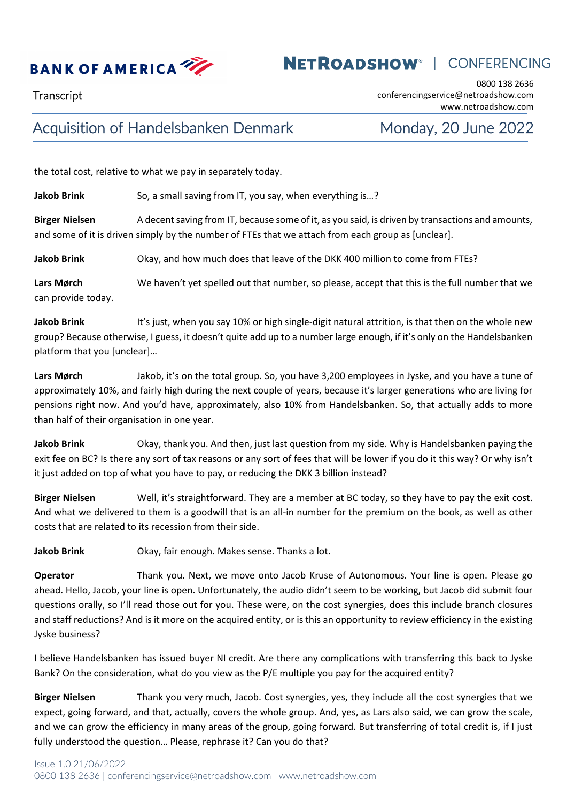

**Transcript** 

0800 138 2636 conferencingservice@netroadshow.com www.netroadshow.com

## Acquisition of Handelsbanken Denmark Monday, 20 June 2022

the total cost, relative to what we pay in separately today.

**Jakob Brink** So, a small saving from IT, you say, when everything is...?

Birger Nielsen A decent saving from IT, because some of it, as you said, is driven by transactions and amounts, and some of it is driven simply by the number of FTEs that we attach from each group as [unclear].

**Jakob Brink** Okay, and how much does that leave of the DKK 400 million to come from FTEs?

Lars Mørch We haven't yet spelled out that number, so please, accept that this is the full number that we can provide today.

**Jakob Brink** It's just, when you say 10% or high single-digit natural attrition, is that then on the whole new group? Because otherwise, I guess, it doesn't quite add up to a number large enough, if it's only on the Handelsbanken platform that you [unclear]…

**Lars Mørch** Jakob, it's on the total group. So, you have 3,200 employees in Jyske, and you have a tune of approximately 10%, and fairly high during the next couple of years, because it's larger generations who are living for pensions right now. And you'd have, approximately, also 10% from Handelsbanken. So, that actually adds to more than half of their organisation in one year.

**Jakob Brink** Okay, thank you. And then, just last question from my side. Why is Handelsbanken paying the exit fee on BC? Is there any sort of tax reasons or any sort of fees that will be lower if you do it this way? Or why isn't it just added on top of what you have to pay, or reducing the DKK 3 billion instead?

**Birger Nielsen** Well, it's straightforward. They are a member at BC today, so they have to pay the exit cost. And what we delivered to them is a goodwill that is an all-in number for the premium on the book, as well as other costs that are related to its recession from their side.

**Jakob Brink** Okay, fair enough. Makes sense. Thanks a lot.

**Operator** Thank you. Next, we move onto Jacob Kruse of Autonomous. Your line is open. Please go ahead. Hello, Jacob, your line is open. Unfortunately, the audio didn't seem to be working, but Jacob did submit four questions orally, so I'll read those out for you. These were, on the cost synergies, does this include branch closures and staff reductions? And is it more on the acquired entity, or is this an opportunity to review efficiency in the existing Jyske business?

I believe Handelsbanken has issued buyer NI credit. Are there any complications with transferring this back to Jyske Bank? On the consideration, what do you view as the P/E multiple you pay for the acquired entity?

**Birger Nielsen** Thank you very much, Jacob. Cost synergies, yes, they include all the cost synergies that we expect, going forward, and that, actually, covers the whole group. And, yes, as Lars also said, we can grow the scale, and we can grow the efficiency in many areas of the group, going forward. But transferring of total credit is, if I just fully understood the question… Please, rephrase it? Can you do that?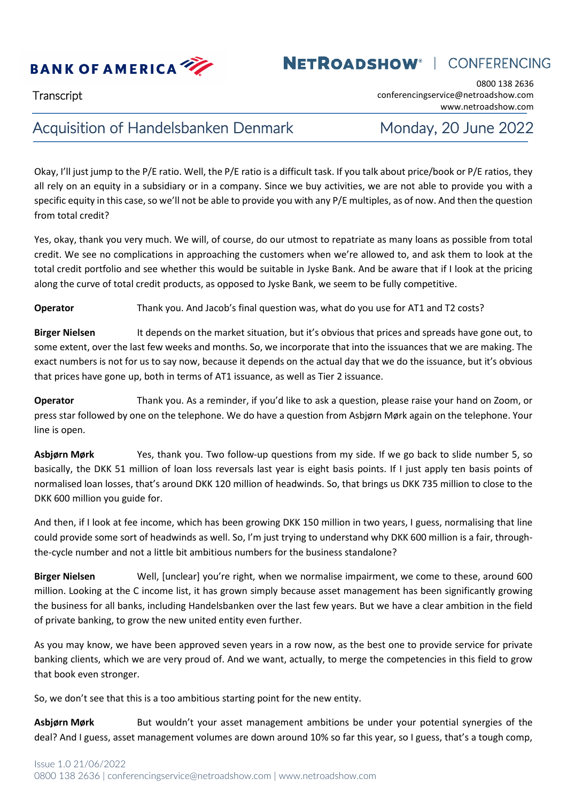

**Transcript** 

0800 138 2636 conferencingservice@netroadshow.com www.netroadshow.com

#### Acquisition of Handelsbanken Denmark Monday, 20 June 2022

Okay, I'll just jump to the P/E ratio. Well, the P/E ratio is a difficult task. If you talk about price/book or P/E ratios, they all rely on an equity in a subsidiary or in a company. Since we buy activities, we are not able to provide you with a specific equity in this case, so we'll not be able to provide you with any P/E multiples, as of now. And then the question from total credit?

Yes, okay, thank you very much. We will, of course, do our utmost to repatriate as many loans as possible from total credit. We see no complications in approaching the customers when we're allowed to, and ask them to look at the total credit portfolio and see whether this would be suitable in Jyske Bank. And be aware that if I look at the pricing along the curve of total credit products, as opposed to Jyske Bank, we seem to be fully competitive.

**Operator** Thank you. And Jacob's final question was, what do you use for AT1 and T2 costs?

**Birger Nielsen** It depends on the market situation, but it's obvious that prices and spreads have gone out, to some extent, over the last few weeks and months. So, we incorporate that into the issuances that we are making. The exact numbers is not for us to say now, because it depends on the actual day that we do the issuance, but it's obvious that prices have gone up, both in terms of AT1 issuance, as well as Tier 2 issuance.

**Operator** Thank you. As a reminder, if you'd like to ask a question, please raise your hand on Zoom, or press star followed by one on the telephone. We do have a question from Asbjørn Mørk again on the telephone. Your line is open.

**Asbjørn Mørk** Yes, thank you. Two follow-up questions from my side. If we go back to slide number 5, so basically, the DKK 51 million of loan loss reversals last year is eight basis points. If I just apply ten basis points of normalised loan losses, that's around DKK 120 million of headwinds. So, that brings us DKK 735 million to close to the DKK 600 million you guide for.

And then, if I look at fee income, which has been growing DKK 150 million in two years, I guess, normalising that line could provide some sort of headwinds as well. So, I'm just trying to understand why DKK 600 million is a fair, throughthe-cycle number and not a little bit ambitious numbers for the business standalone?

**Birger Nielsen** Well, [unclear] you're right, when we normalise impairment, we come to these, around 600 million. Looking at the C income list, it has grown simply because asset management has been significantly growing the business for all banks, including Handelsbanken over the last few years. But we have a clear ambition in the field of private banking, to grow the new united entity even further.

As you may know, we have been approved seven years in a row now, as the best one to provide service for private banking clients, which we are very proud of. And we want, actually, to merge the competencies in this field to grow that book even stronger.

So, we don't see that this is a too ambitious starting point for the new entity.

Asbjørn Mørk But wouldn't your asset management ambitions be under your potential synergies of the deal? And I guess, asset management volumes are down around 10% so far this year, so I guess, that's a tough comp,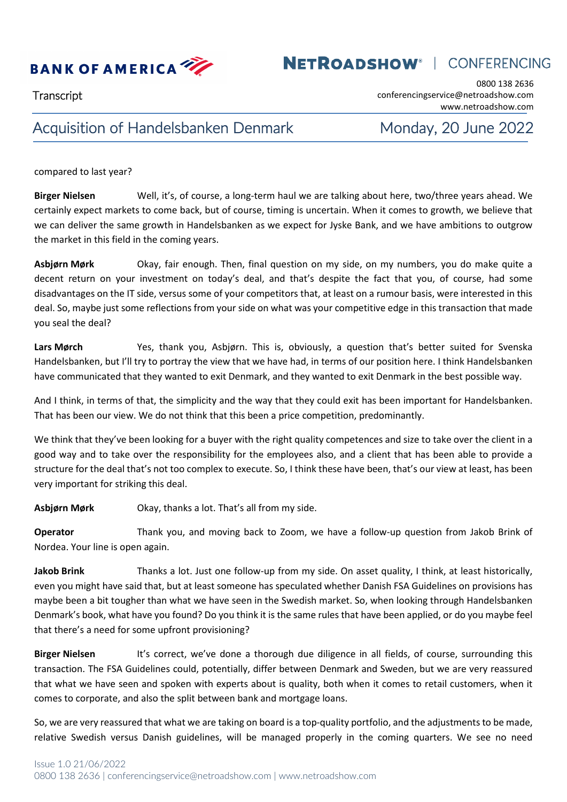

**Transcript** 

0800 138 2636 conferencingservice@netroadshow.com www.netroadshow.com

#### Acquisition of Handelsbanken Denmark Monday, 20 June 2022

compared to last year?

**Birger Nielsen** Well, it's, of course, a long-term haul we are talking about here, two/three years ahead. We certainly expect markets to come back, but of course, timing is uncertain. When it comes to growth, we believe that we can deliver the same growth in Handelsbanken as we expect for Jyske Bank, and we have ambitions to outgrow the market in this field in the coming years.

**Asbjørn Mørk** Okay, fair enough. Then, final question on my side, on my numbers, you do make quite a decent return on your investment on today's deal, and that's despite the fact that you, of course, had some disadvantages on the IT side, versus some of your competitors that, at least on a rumour basis, were interested in this deal. So, maybe just some reflections from your side on what was your competitive edge in this transaction that made you seal the deal?

Lars Mørch Yes, thank you, Asbjørn. This is, obviously, a question that's better suited for Svenska Handelsbanken, but I'll try to portray the view that we have had, in terms of our position here. I think Handelsbanken have communicated that they wanted to exit Denmark, and they wanted to exit Denmark in the best possible way.

And I think, in terms of that, the simplicity and the way that they could exit has been important for Handelsbanken. That has been our view. We do not think that this been a price competition, predominantly.

We think that they've been looking for a buyer with the right quality competences and size to take over the client in a good way and to take over the responsibility for the employees also, and a client that has been able to provide a structure for the deal that's not too complex to execute. So, I think these have been, that's our view at least, has been very important for striking this deal.

**Asbjørn Mørk** Okay, thanks a lot. That's all from my side.

**Operator** Thank you, and moving back to Zoom, we have a follow-up question from Jakob Brink of Nordea. Your line is open again.

**Jakob Brink** Thanks a lot. Just one follow-up from my side. On asset quality, I think, at least historically, even you might have said that, but at least someone has speculated whether Danish FSA Guidelines on provisions has maybe been a bit tougher than what we have seen in the Swedish market. So, when looking through Handelsbanken Denmark's book, what have you found? Do you think it is the same rules that have been applied, or do you maybe feel that there's a need for some upfront provisioning?

**Birger Nielsen** It's correct, we've done a thorough due diligence in all fields, of course, surrounding this transaction. The FSA Guidelines could, potentially, differ between Denmark and Sweden, but we are very reassured that what we have seen and spoken with experts about is quality, both when it comes to retail customers, when it comes to corporate, and also the split between bank and mortgage loans.

So, we are very reassured that what we are taking on board is a top-quality portfolio, and the adjustments to be made, relative Swedish versus Danish guidelines, will be managed properly in the coming quarters. We see no need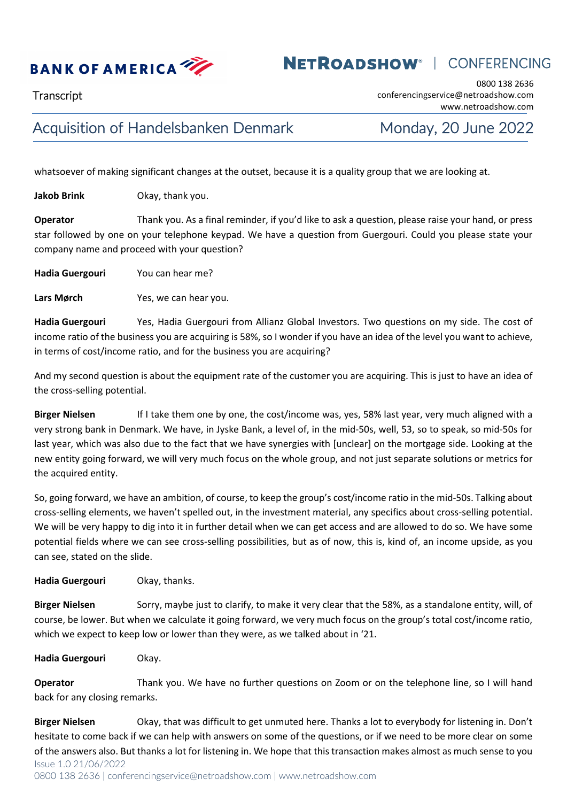

**Transcript** 

0800 138 2636 conferencingservice@netroadshow.com www.netroadshow.com

#### Acquisition of Handelsbanken Denmark Monday, 20 June 2022

whatsoever of making significant changes at the outset, because it is a quality group that we are looking at.

**Jakob Brink** Okay, thank you.

**Operator** Thank you. As a final reminder, if you'd like to ask a question, please raise your hand, or press star followed by one on your telephone keypad. We have a question from Guergouri. Could you please state your company name and proceed with your question?

**Hadia Guergouri** You can hear me?

**Lars Mørch** Yes, we can hear you.

**Hadia Guergouri** Yes, Hadia Guergouri from Allianz Global Investors. Two questions on my side. The cost of income ratio of the business you are acquiring is 58%, so I wonder if you have an idea of the level you want to achieve, in terms of cost/income ratio, and for the business you are acquiring?

And my second question is about the equipment rate of the customer you are acquiring. This is just to have an idea of the cross-selling potential.

**Birger Nielsen** If I take them one by one, the cost/income was, yes, 58% last year, very much aligned with a very strong bank in Denmark. We have, in Jyske Bank, a level of, in the mid-50s, well, 53, so to speak, so mid-50s for last year, which was also due to the fact that we have synergies with [unclear] on the mortgage side. Looking at the new entity going forward, we will very much focus on the whole group, and not just separate solutions or metrics for the acquired entity.

So, going forward, we have an ambition, of course, to keep the group's cost/income ratio in the mid-50s. Talking about cross-selling elements, we haven't spelled out, in the investment material, any specifics about cross-selling potential. We will be very happy to dig into it in further detail when we can get access and are allowed to do so. We have some potential fields where we can see cross-selling possibilities, but as of now, this is, kind of, an income upside, as you can see, stated on the slide.

**Hadia Guergouri** Okay, thanks.

**Birger Nielsen** Sorry, maybe just to clarify, to make it very clear that the 58%, as a standalone entity, will, of course, be lower. But when we calculate it going forward, we very much focus on the group's total cost/income ratio, which we expect to keep low or lower than they were, as we talked about in '21.

**Hadia Guergouri** Okay.

**Operator** Thank you. We have no further questions on Zoom or on the telephone line, so I will hand back for any closing remarks.

Issue 1.0 21/06/2022 **Birger Nielsen** Okay, that was difficult to get unmuted here. Thanks a lot to everybody for listening in. Don't hesitate to come back if we can help with answers on some of the questions, or if we need to be more clear on some of the answers also. But thanks a lot for listening in. We hope that this transaction makes almost as much sense to you